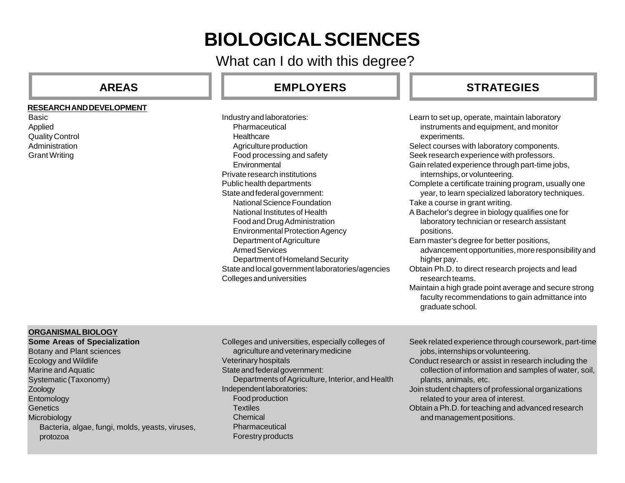# **BIOLOGICAL SCIENCES**

What can I do with this degree?

#### **RESEARCH AND DEVELOPMENT**

**Basic** Applied Quality Control Administration Grant Writing

# **AREAS EMPLOYERS**

Industry and laboratories: **Pharmaceutical Healthcare** Agriculture production Food processing and safety Environmental Private research institutions Public health departments State and federal government: National Science Foundation National Institutes of Health Food and Drug Administration Environmental Protection Agency Department of Agriculture Armed Services Department of Homeland Security State and local government laboratories/agencies Colleges and universities Learn to set up, operate, maintain laboratory instruments and equipment, and monitor experiments. Select courses with laboratory components. Seek research experience with professors. Gain related experience through part-time jobs, internships, or volunteering. Complete a certificate training program, usually one year, to learn specialized laboratory techniques. Take a course in grant writing. A Bachelor's degree in biology qualifies one for laboratory technician or research assistant positions. Earn master's degree for better positions, advancement opportunities, more responsibility and higher pay. Obtain Ph.D. to direct research projects and lead research teams.

Maintain a high grade point average and secure strong faculty recommendations to gain admittance into graduate school.

### **ORGANISMAL BIOLOGY**

**Some Areas of Specialization** Botany and Plant sciences Ecology and Wildlife Marine and Aquatic Systematic (Taxonomy) Zoology Entomology **Genetics Microbiology** Bacteria, algae, fungi, molds, yeasts, viruses, protozoa

Colleges and universities, especially colleges of agriculture and veterinary medicine Veterinary hospitals State and federal government: Departments of Agriculture, Interior, and Health Independent laboratories: Food production **Textiles** Chemical Pharmaceutical Forestry products

- Seek related experience through coursework, part-time jobs, internships or volunteering.
- Conduct research or assist in research including the collection of information and samples of water, soil, plants, animals, etc.
- Join student chapters of professional organizations related to your area of interest.
- Obtain a Ph.D. for teaching and advanced research and management positions.

# **STRATEGIES**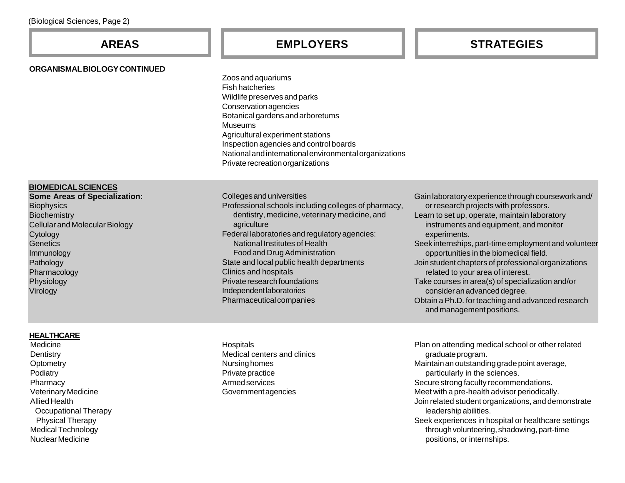#### **ORGANISMAL BIOLOGY CONTINUED**

## **AREAS EMPLOYERS STRATEGIES**

Zoos and aquariums Fish hatcheries Wildlife preserves and parks Conservation agencies Botanical gardens and arboretums Museums Agricultural experiment stations Inspection agencies and control boards National and international environmental organizations Private recreation organizations

#### **BIOMEDICAL SCIENCES**

**Some Areas of Specialization: Biophysics Biochemistry** Cellular and Molecular Biology **Cytology Genetics** Immunology Pathology Pharmacology Physiology Virology

#### **HEALTHCARE**

Medicine **Dentistry Optometry Podiatry Pharmacy** Veterinary Medicine Allied Health Occupational Therapy Physical Therapy Medical Technology Nuclear Medicine

Colleges and universities Professional schools including colleges of pharmacy, dentistry, medicine, veterinary medicine, and agriculture Federal laboratories and regulatory agencies: National Institutes of Health Food and Drug Administration State and local public health departments Clinics and hospitals Private research foundations Independent laboratories Pharmaceutical companies

Gain laboratory experience through coursework and/ or research projects with professors. Learn to set up, operate, maintain laboratory instruments and equipment, and monitor experiments. Seek internships, part-time employment and volunteer opportunities in the biomedical field. Join student chapters of professional organizations related to your area of interest. Take courses in area(s) of specialization and/or consider an advanced degree. Obtain a Ph.D. for teaching and advanced research

and management positions.

**Hospitals** Medical centers and clinics Nursing homes Private practice Armed services Government agencies

Plan on attending medical school or other related graduate program. Maintain an outstanding grade point average, particularly in the sciences. Secure strong faculty recommendations. Meet with a pre-health advisor periodically. Join related student organizations, and demonstrate leadership abilities. Seek experiences in hospital or healthcare settings through volunteering, shadowing, part-time positions, or internships.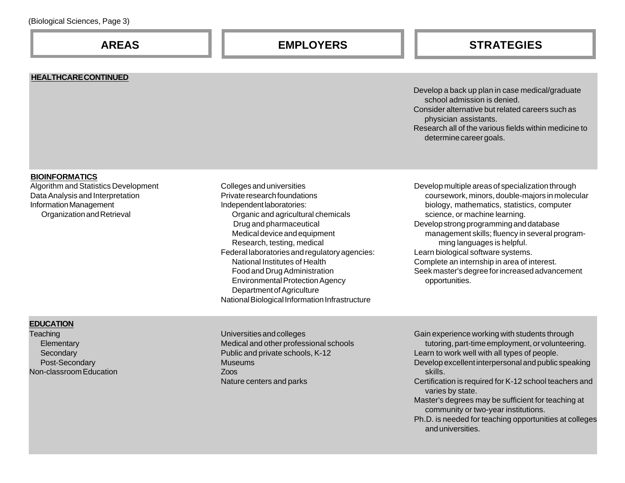#### **HEALTHCARE CONTINUED**

#### Develop a back up plan in case medical/graduate school admission is denied. Consider alternative but related careers such as physician assistants. Research all of the various fields within medicine to determine career goals.

#### **BIOINFORMATICS**

Algorithm and Statistics Development Data Analysis and Interpretation Information Management Organization and Retrieval

Colleges and universities Private research foundations Independent laboratories: Organic and agricultural chemicals Drug and pharmaceutical Medical device and equipment Research, testing, medical Federal laboratories and regulatory agencies: National Institutes of Health Food and Drug Administration Environmental Protection Agency Department of Agriculture National Biological Information Infrastructure

Develop multiple areas of specialization through coursework, minors, double-majors in molecular biology, mathematics, statistics, computer science, or machine learning. Develop strong programming and database management skills; fluency in several programming languages is helpful. Learn biological software systems. Complete an internship in area of interest. Seek master's degree for increased advancement opportunities.

### **EDUCATION**

**Teaching Elementary Secondary** Post-Secondary Non-classroom Education Universities and colleges Medical and other professional schools Public and private schools, K-12 Museums Zoos Nature centers and parks

Gain experience working with students through tutoring, part-time employment, or volunteering.

- Learn to work well with all types of people.
- Develop excellent interpersonal and public speaking skills.
- Certification is required for K-12 school teachers and varies by state.
- Master's degrees may be sufficient for teaching at community or two-year institutions.
- Ph.D. is needed for teaching opportunities at colleges and universities.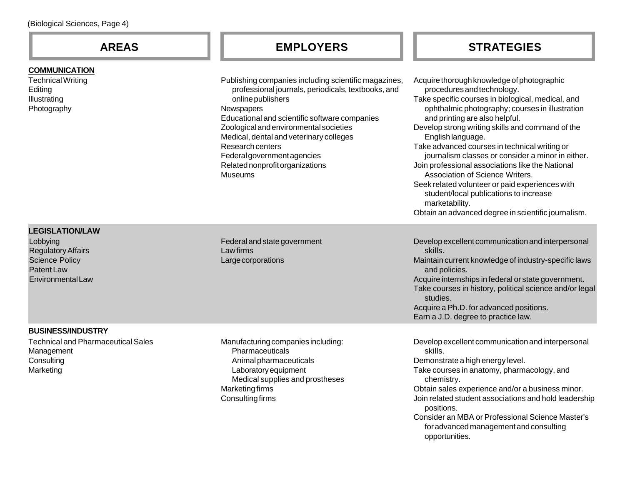#### **COMMUNICATION**

Technical Writing **Editing** Illustrating Photography

# **AREAS EMPLOYERS**

Publishing companies including scientific magazir professional journals, periodicals, textbooks, a online publishers **Newspapers** Educational and scientific software companies Zoological and environmental societies Medical, dental and veterinary colleges Research centers Federal government agencies Related nonprofit organizations **Museums** 

# **STRATEGIES**

| nes,<br>ınd | Acquire thorough knowledge of photographic<br>procedures and technology.<br>Take specific courses in biological, medical, and<br>ophthalmic photography; courses in illustration<br>and printing are also helpful.<br>Develop strong writing skills and command of the<br>English language.<br>Take advanced courses in technical writing or<br>journalism classes or consider a minor in either.<br>Join professional associations like the National<br>Association of Science Writers.<br>Seek related volunteer or paid experiences with<br>student/local publications to increase<br>marketability.<br>Obtain an advanced degree in scientific journalism. |
|-------------|----------------------------------------------------------------------------------------------------------------------------------------------------------------------------------------------------------------------------------------------------------------------------------------------------------------------------------------------------------------------------------------------------------------------------------------------------------------------------------------------------------------------------------------------------------------------------------------------------------------------------------------------------------------|
|             | Develop excellent communication and interpersonal<br>skills.<br>Maintain current knowledge of industry-specific laws<br>and policies.<br>Acquire internships in federal or state government.<br>Take courses in history, political science and/or legal<br>studies.<br>Acquire a Ph.D. for advanced positions.                                                                                                                                                                                                                                                                                                                                                 |

Earn a J.D. degree to practice law.

### **LEGISLATION/LAW**

Lobbying Regulatory Affairs Science Policy Patent Law Environmental Law Federal and state government Law firms Large corporations

#### **BUSINESS/INDUSTRY**

Technical and Pharmaceutical Sales Management **Consulting** Marketing

Manufacturing companies including: **Pharmaceuticals** Animal pharmaceuticals Laboratory equipment Medical supplies and prostheses Marketing firms Consulting firms

Develop excellent communication and interpersonal skills. Demonstrate a high energy level. Take courses in anatomy, pharmacology, and chemistry. Obtain sales experience and/or a business minor. Join related student associations and hold leadership positions. Consider an MBA or Professional Science Master's for advanced management and consulting opportunities.